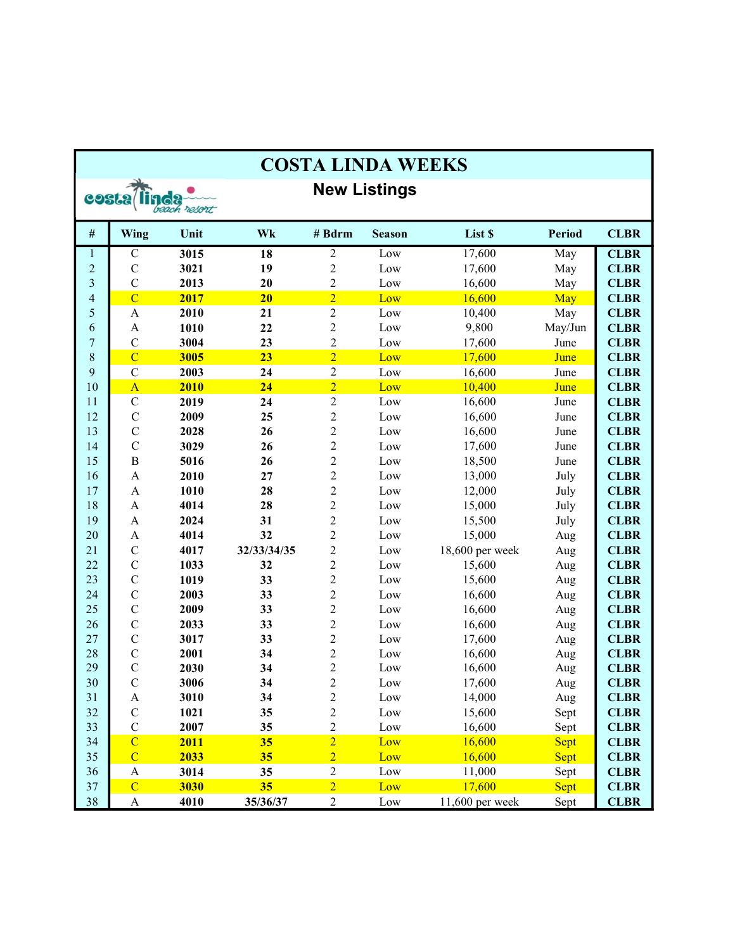| <b>COSTA LINDA WEEKS</b>     |                           |      |                 |                  |               |                 |               |             |  |
|------------------------------|---------------------------|------|-----------------|------------------|---------------|-----------------|---------------|-------------|--|
| <b>New Listings</b><br>costa |                           |      |                 |                  |               |                 |               |             |  |
| beach resort                 |                           |      |                 |                  |               |                 |               |             |  |
| $\#$                         | Wing                      | Unit | Wk              | # Bdrm           | <b>Season</b> | List \$         | <b>Period</b> | <b>CLBR</b> |  |
| $\mathbf{1}$                 | $\mathbf C$               | 3015 | $\overline{18}$ | $\sqrt{2}$       | Low           | 17,600          | May           | <b>CLBR</b> |  |
| $\overline{c}$               | $\mathbf C$               | 3021 | 19              | $\overline{c}$   | Low           | 17,600          | May           | <b>CLBR</b> |  |
| 3                            | $\overline{C}$            | 2013 | 20              | $\overline{c}$   | Low           | 16,600          | May           | <b>CLBR</b> |  |
| $\overline{\mathcal{L}}$     | $\overline{C}$            | 2017 | 20              | $\overline{2}$   | Low           | 16,600          | May           | <b>CLBR</b> |  |
| 5                            | $\boldsymbol{\mathsf{A}}$ | 2010 | 21              | $\overline{c}$   | Low           | 10,400          | May           | <b>CLBR</b> |  |
| 6                            | $\boldsymbol{\mathsf{A}}$ | 1010 | 22              | $\overline{c}$   | Low           | 9,800           | May/Jun       | <b>CLBR</b> |  |
| $\overline{7}$               | $\mathsf{C}$              | 3004 | 23              | $\overline{c}$   | Low           | 17,600          | June          | <b>CLBR</b> |  |
| 8                            | $\overline{C}$            | 3005 | 23              | $\overline{2}$   | Low           | 17,600          | June          | <b>CLBR</b> |  |
| 9                            | $\mathbf C$               | 2003 | 24              | $\sqrt{2}$       | Low           | 16,600          | June          | <b>CLBR</b> |  |
| 10                           | $\mathbf{A}$              | 2010 | 24              | $\overline{2}$   | Low           | 10,400          | June          | <b>CLBR</b> |  |
| 11                           | $\mathbf C$               | 2019 | 24              | $\sqrt{2}$       | Low           | 16,600          | June          | <b>CLBR</b> |  |
| 12                           | $\mathbf C$               | 2009 | 25              | $\overline{c}$   | Low           | 16,600          | June          | <b>CLBR</b> |  |
| 13                           | $\mathcal{C}$             | 2028 | 26              | $\overline{2}$   | Low           | 16,600          | June          | <b>CLBR</b> |  |
| 14                           | $\mathbf C$               | 3029 | 26              | $\overline{2}$   | Low           | 17,600          | June          | <b>CLBR</b> |  |
| 15                           | $\, {\bf B}$              | 5016 | 26              | $\overline{2}$   | Low           | 18,500          | June          | <b>CLBR</b> |  |
| 16                           | $\mathbf{A}$              | 2010 | 27              | $\overline{c}$   | Low           | 13,000          | July          | <b>CLBR</b> |  |
| 17                           | $\mathbf{A}$              | 1010 | 28              | $\overline{c}$   | Low           | 12,000          | July          | <b>CLBR</b> |  |
| 18                           | $\mathbf{A}$              | 4014 | 28              | $\overline{c}$   | Low           | 15,000          | July          | <b>CLBR</b> |  |
| 19                           | $\boldsymbol{\mathsf{A}}$ | 2024 | 31              | $\overline{c}$   | Low           | 15,500          | July          | <b>CLBR</b> |  |
| 20                           | $\mathbf A$               | 4014 | 32              | $\overline{c}$   | Low           | 15,000          | Aug           | <b>CLBR</b> |  |
| 21                           | $\mathbf C$               | 4017 | 32/33/34/35     | $\overline{c}$   | Low           | 18,600 per week | Aug           | <b>CLBR</b> |  |
| 22                           | $\mathbf C$               | 1033 | 32              | $\overline{2}$   | Low           | 15,600          | Aug           | <b>CLBR</b> |  |
| 23                           | $\overline{C}$            | 1019 | 33              | $\overline{c}$   | Low           | 15,600          | Aug           | <b>CLBR</b> |  |
| 24                           | $\mathbf C$               | 2003 | 33              | $\overline{c}$   | Low           | 16,600          | Aug           | <b>CLBR</b> |  |
| 25                           | $\overline{C}$            | 2009 | 33              | $\overline{2}$   | Low           | 16,600          | Aug           | <b>CLBR</b> |  |
| 26                           | $\mathbf C$               | 2033 | 33              | $\overline{c}$   | Low           | 16,600          | Aug           | <b>CLBR</b> |  |
| 27                           | $\mathbf C$               | 3017 | 33              | $\overline{2}$   | Low           | 17,600          | Aug           | <b>CLBR</b> |  |
| 28                           | $\mathbf C$               | 2001 | 34              | $\overline{c}$   | Low           | 16,600          | Aug           | <b>CLBR</b> |  |
| 29                           | $\mathbf C$               | 2030 | 34              | $\overline{c}$   | Low           | 16,600          | Aug           | <b>CLBR</b> |  |
| 30                           | $\mathbf C$               | 3006 | 34              | $\mathfrak{D}$   | Low           | 17,600          | Aug           | <b>CLBR</b> |  |
| 31                           | A                         | 3010 | 34              | 2                | Low           | 14,000          | Aug           | <b>CLBR</b> |  |
| 32                           | $\mathbf C$               | 1021 | 35              | $\boldsymbol{2}$ | Low           | 15,600          | Sept          | <b>CLBR</b> |  |
| 33                           | $\mathbf C$               | 2007 | 35              | $\mathbf{2}$     | Low           | 16,600          | Sept          | <b>CLBR</b> |  |
| 34                           | $\overline{C}$            | 2011 | 35              | $\overline{2}$   | Low           | 16,600          | Sept          | <b>CLBR</b> |  |
| 35                           | $\overline{C}$            | 2033 | 35              | $\overline{2}$   | Low           | 16,600          | <b>Sept</b>   | <b>CLBR</b> |  |
| 36                           | $\boldsymbol{A}$          | 3014 | 35              | $\overline{c}$   | Low           | 11,000          | Sept          | <b>CLBR</b> |  |
| 37                           | $\overline{C}$            | 3030 | 35              | $\overline{2}$   | Low           | 17,600          | <b>Sept</b>   | <b>CLBR</b> |  |
| 38                           | A                         | 4010 | 35/36/37        | $\overline{c}$   | Low           | 11,600 per week | Sept          | <b>CLBR</b> |  |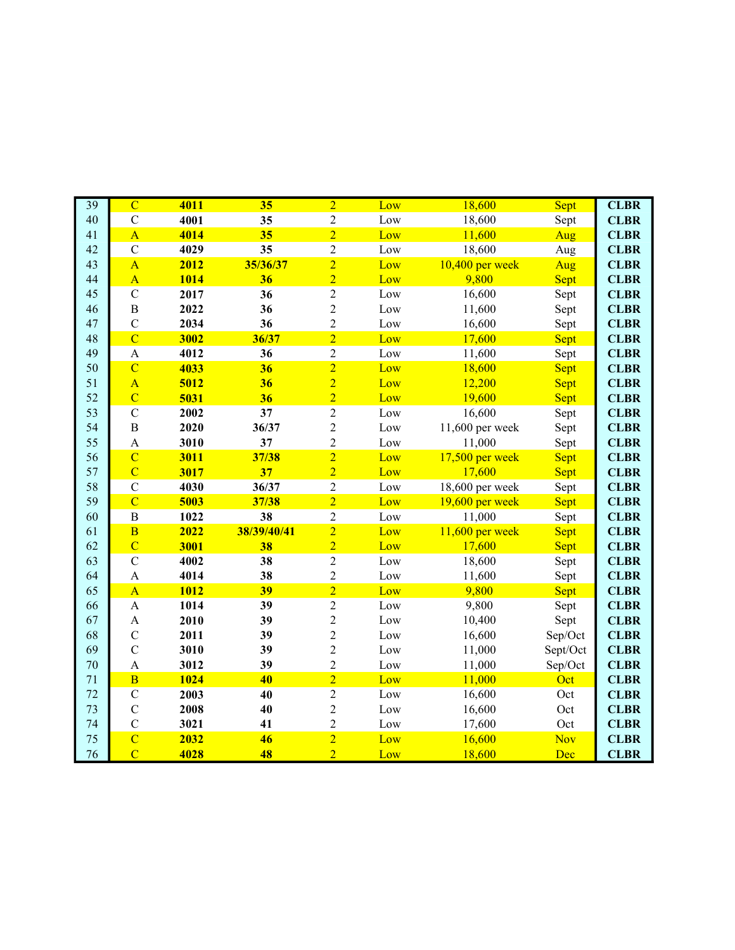| $\overline{39}$ | $\overline{C}$            | 4011        | 35          | $\overline{2}$ | Low | 18,600            | Sept       | <b>CLBR</b> |
|-----------------|---------------------------|-------------|-------------|----------------|-----|-------------------|------------|-------------|
| 40              | $\mathbf C$               | 4001        | 35          | $\sqrt{2}$     | Low | 18,600            | Sept       | <b>CLBR</b> |
| 41              | $\overline{A}$            | 4014        | 35          | $\overline{2}$ | Low | 11,600            | Aug        | <b>CLBR</b> |
| 42              | $\mathbf C$               | 4029        | 35          | $\overline{c}$ | Low | 18,600            | Aug        | <b>CLBR</b> |
| 43              | $\overline{A}$            | 2012        | 35/36/37    | $\overline{2}$ | Low | $10,400$ per week | Aug        | <b>CLBR</b> |
| 44              | $\overline{A}$            | 1014        | 36          | $\overline{2}$ | Low | 9,800             | Sept       | <b>CLBR</b> |
| 45              | $\mathcal{C}$             | 2017        | 36          | $\overline{2}$ | Low | 16,600            | Sept       | <b>CLBR</b> |
| 46              | $\, {\bf B}$              | 2022        | 36          | $\overline{2}$ | Low | 11,600            | Sept       | <b>CLBR</b> |
| 47              | $\overline{C}$            | 2034        | 36          | $\overline{2}$ | Low | 16,600            | Sept       | <b>CLBR</b> |
| 48              | $\overline{C}$            | 3002        | 36/37       | $\overline{2}$ | Low | 17,600            | Sept       | <b>CLBR</b> |
| 49              | $\boldsymbol{\mathsf{A}}$ | 4012        | 36          | $\sqrt{2}$     | Low | 11,600            | Sept       | <b>CLBR</b> |
| 50              | $\overline{C}$            | 4033        | 36          | $\overline{2}$ | Low | 18,600            | Sept       | <b>CLBR</b> |
| 51              | $\overline{A}$            | 5012        | 36          | $\overline{2}$ | Low | 12,200            | Sept       | <b>CLBR</b> |
| 52              | $\overline{C}$            | 5031        | 36          | $\overline{2}$ | Low | 19,600            | Sept       | <b>CLBR</b> |
| 53              | $\mathbf C$               | 2002        | 37          | $\overline{2}$ | Low | 16,600            | Sept       | <b>CLBR</b> |
| 54              | $\, {\bf B}$              | 2020        | 36/37       | $\overline{2}$ | Low | 11,600 per week   | Sept       | <b>CLBR</b> |
| 55              | $\mathbf{A}$              | 3010        | 37          | $\overline{2}$ | Low | 11,000            | Sept       | <b>CLBR</b> |
| 56              | $\overline{C}$            | 3011        | 37/38       | $\overline{2}$ | Low | 17,500 per week   | Sept       | <b>CLBR</b> |
| 57              | $\overline{C}$            | 3017        | 37          | $\overline{2}$ | Low | 17,600            | Sept       | <b>CLBR</b> |
| 58              | $\mathbf C$               | 4030        | 36/37       | $\sqrt{2}$     | Low | 18,600 per week   | Sept       | <b>CLBR</b> |
| 59              | $\overline{C}$            | 5003        | 37/38       | $\overline{2}$ | Low | 19,600 per week   | Sept       | <b>CLBR</b> |
| 60              | $\, {\bf B}$              | 1022        | 38          | $\sqrt{2}$     | Low | 11,000            | Sept       | <b>CLBR</b> |
| 61              | $\overline{\mathbf{B}}$   | 2022        | 38/39/40/41 | $\overline{2}$ | Low | $11,600$ per week | Sept       | <b>CLBR</b> |
| 62              | $\overline{C}$            | 3001        | 38          | $\overline{2}$ | Low | 17,600            | Sept       | <b>CLBR</b> |
| 63              | $\mathbf C$               | 4002        | 38          | $\overline{2}$ | Low | 18,600            | Sept       | <b>CLBR</b> |
| 64              | $\mathbf{A}$              | 4014        | 38          | $\sqrt{2}$     | Low | 11,600            | Sept       | <b>CLBR</b> |
| 65              | $\overline{A}$            | <b>1012</b> | 39          | $\overline{2}$ | Low | 9,800             | Sept       | <b>CLBR</b> |
| 66              | $\mathbf{A}$              | 1014        | 39          | $\overline{2}$ | Low | 9,800             | Sept       | <b>CLBR</b> |
| 67              | $\mathbf{A}$              | 2010        | 39          | $\overline{2}$ | Low | 10,400            | Sept       | <b>CLBR</b> |
| 68              | $\mathbf C$               | 2011        | 39          | $\overline{c}$ | Low | 16,600            | Sep/Oct    | <b>CLBR</b> |
| 69              | $\overline{C}$            | 3010        | 39          | $\overline{c}$ | Low | 11,000            | Sept/Oct   | <b>CLBR</b> |
| 70              | $\mathbf{A}$              | 3012        | 39          | $\overline{c}$ | Low | 11,000            | Sep/Oct    | <b>CLBR</b> |
| 71              | $\overline{B}$            | 1024        | 40          | $\overline{2}$ | Low | 11,000            | Oct        | <b>CLBR</b> |
| 72              | $\mathbf C$               | 2003        | 40          | $\overline{2}$ | Low | 16,600            | Oct        | <b>CLBR</b> |
| 73              | $\overline{C}$            | 2008        | 40          | $\overline{2}$ | Low | 16,600            | Oct        | <b>CLBR</b> |
| 74              | $\overline{C}$            | 3021        | 41          | $\overline{c}$ | Low | 17,600            | Oct        | <b>CLBR</b> |
| 75              | $\overline{C}$            | 2032        | 46          | $\overline{2}$ | Low | 16,600            | <b>Nov</b> | <b>CLBR</b> |
| 76              | $\overline{C}$            | 4028        | 48          | $\overline{2}$ | Low | 18,600            | Dec        | <b>CLBR</b> |